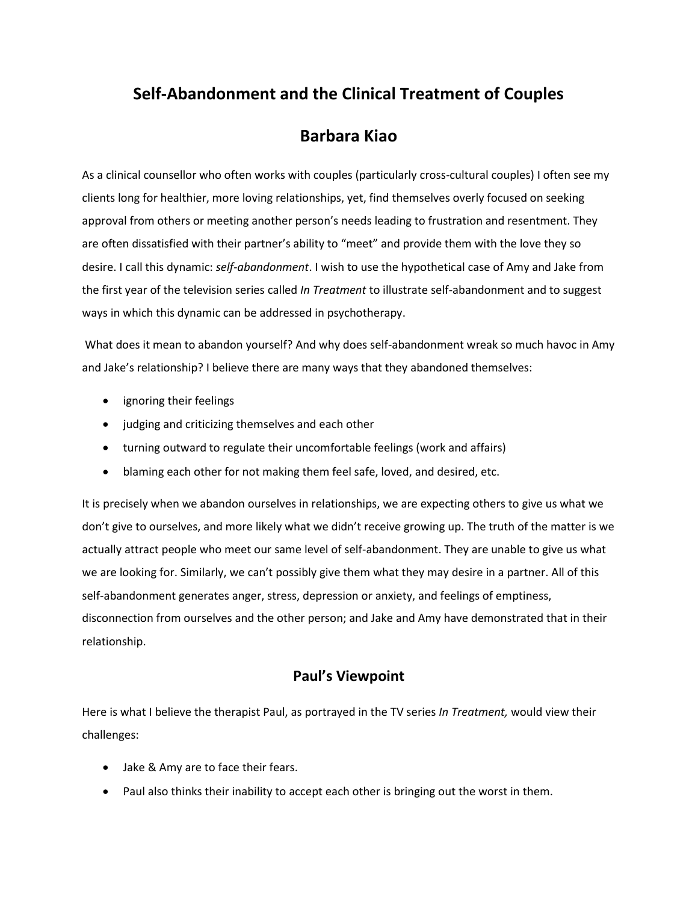# **Self-Abandonment and the Clinical Treatment of Couples**

## **Barbara Kiao**

As a clinical counsellor who often works with couples (particularly cross-cultural couples) I often see my clients long for healthier, more loving relationships, yet, find themselves overly focused on seeking approval from others or meeting another person's needs leading to frustration and resentment. They are often dissatisfied with their partner's ability to "meet" and provide them with the love they so desire. I call this dynamic: *self-abandonment*. I wish to use the hypothetical case of Amy and Jake from the first year of the television series called *In Treatment* to illustrate self-abandonment and to suggest ways in which this dynamic can be addressed in psychotherapy.

What does it mean to abandon yourself? And why does self-abandonment wreak so much havoc in Amy and Jake's relationship? I believe there are many ways that they abandoned themselves:

- ignoring their feelings
- judging and criticizing themselves and each other
- turning outward to regulate their uncomfortable feelings (work and affairs)
- blaming each other for not making them feel safe, loved, and desired, etc.

It is precisely when we abandon ourselves in relationships, we are expecting others to give us what we don't give to ourselves, and more likely what we didn't receive growing up. The truth of the matter is we actually attract people who meet our same level of self-abandonment. They are unable to give us what we are looking for. Similarly, we can't possibly give them what they may desire in a partner. All of this self-abandonment generates anger, stress, depression or anxiety, and feelings of emptiness, disconnection from ourselves and the other person; and Jake and Amy have demonstrated that in their relationship.

#### **Paul's Viewpoint**

Here is what I believe the therapist Paul, as portrayed in the TV series *In Treatment,* would view their challenges:

- Jake & Amy are to face their fears.
- Paul also thinks their inability to accept each other is bringing out the worst in them.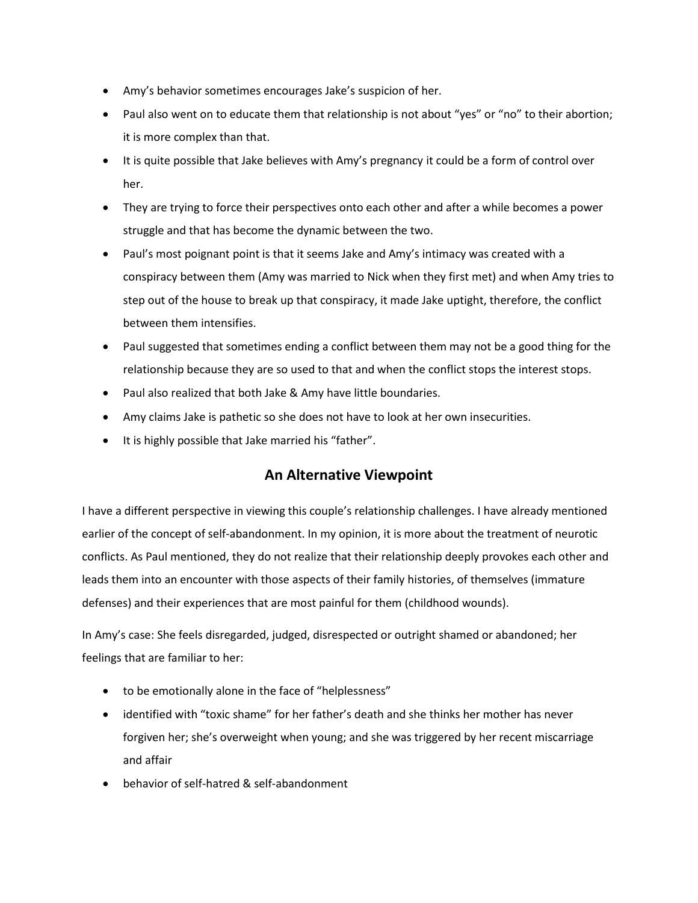- Amy's behavior sometimes encourages Jake's suspicion of her.
- Paul also went on to educate them that relationship is not about "yes" or "no" to their abortion; it is more complex than that.
- It is quite possible that Jake believes with Amy's pregnancy it could be a form of control over her.
- They are trying to force their perspectives onto each other and after a while becomes a power struggle and that has become the dynamic between the two.
- Paul's most poignant point is that it seems Jake and Amy's intimacy was created with a conspiracy between them (Amy was married to Nick when they first met) and when Amy tries to step out of the house to break up that conspiracy, it made Jake uptight, therefore, the conflict between them intensifies.
- Paul suggested that sometimes ending a conflict between them may not be a good thing for the relationship because they are so used to that and when the conflict stops the interest stops.
- Paul also realized that both Jake & Amy have little boundaries.
- Amy claims Jake is pathetic so she does not have to look at her own insecurities.
- It is highly possible that Jake married his "father".

### **An Alternative Viewpoint**

I have a different perspective in viewing this couple's relationship challenges. I have already mentioned earlier of the concept of self-abandonment. In my opinion, it is more about the treatment of neurotic conflicts. As Paul mentioned, they do not realize that their relationship deeply provokes each other and leads them into an encounter with those aspects of their family histories, of themselves (immature defenses) and their experiences that are most painful for them (childhood wounds).

In Amy's case: She feels disregarded, judged, disrespected or outright shamed or abandoned; her feelings that are familiar to her:

- to be emotionally alone in the face of "helplessness"
- identified with "toxic shame" for her father's death and she thinks her mother has never forgiven her; she's overweight when young; and she was triggered by her recent miscarriage and affair
- behavior of self-hatred & self-abandonment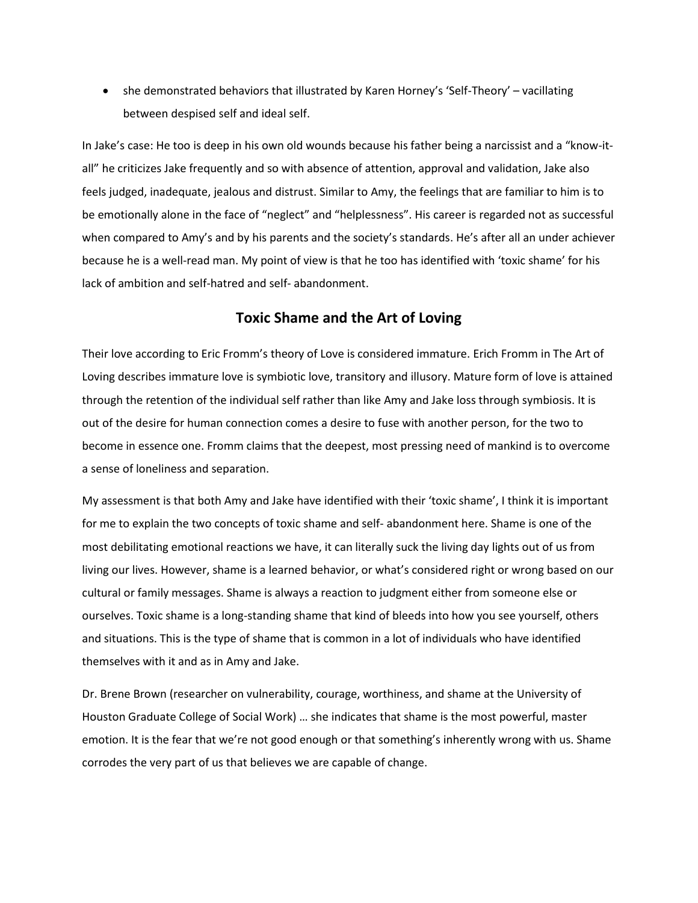• she demonstrated behaviors that illustrated by Karen Horney's 'Self-Theory' – vacillating between despised self and ideal self.

In Jake's case: He too is deep in his own old wounds because his father being a narcissist and a "know-itall" he criticizes Jake frequently and so with absence of attention, approval and validation, Jake also feels judged, inadequate, jealous and distrust. Similar to Amy, the feelings that are familiar to him is to be emotionally alone in the face of "neglect" and "helplessness". His career is regarded not as successful when compared to Amy's and by his parents and the society's standards. He's after all an under achiever because he is a well-read man. My point of view is that he too has identified with 'toxic shame' for his lack of ambition and self-hatred and self- abandonment.

#### **Toxic Shame and the Art of Loving**

Their love according to Eric Fromm's theory of Love is considered immature. Erich Fromm in The Art of Loving describes immature love is symbiotic love, transitory and illusory. Mature form of love is attained through the retention of the individual self rather than like Amy and Jake loss through symbiosis. It is out of the desire for human connection comes a desire to fuse with another person, for the two to become in essence one. Fromm claims that the deepest, most pressing need of mankind is to overcome a sense of loneliness and separation.

My assessment is that both Amy and Jake have identified with their 'toxic shame', I think it is important for me to explain the two concepts of toxic shame and self- abandonment here. Shame is one of the most debilitating emotional reactions we have, it can literally suck the living day lights out of us from living our lives. However, shame is a learned behavior, or what's considered right or wrong based on our cultural or family messages. Shame is always a reaction to judgment either from someone else or ourselves. Toxic shame is a long-standing shame that kind of bleeds into how you see yourself, others and situations. This is the type of shame that is common in a lot of individuals who have identified themselves with it and as in Amy and Jake.

Dr. Brene Brown (researcher on vulnerability, courage, worthiness, and shame at the University of Houston Graduate College of Social Work) … she indicates that shame is the most powerful, master emotion. It is the fear that we're not good enough or that something's inherently wrong with us. Shame corrodes the very part of us that believes we are capable of change.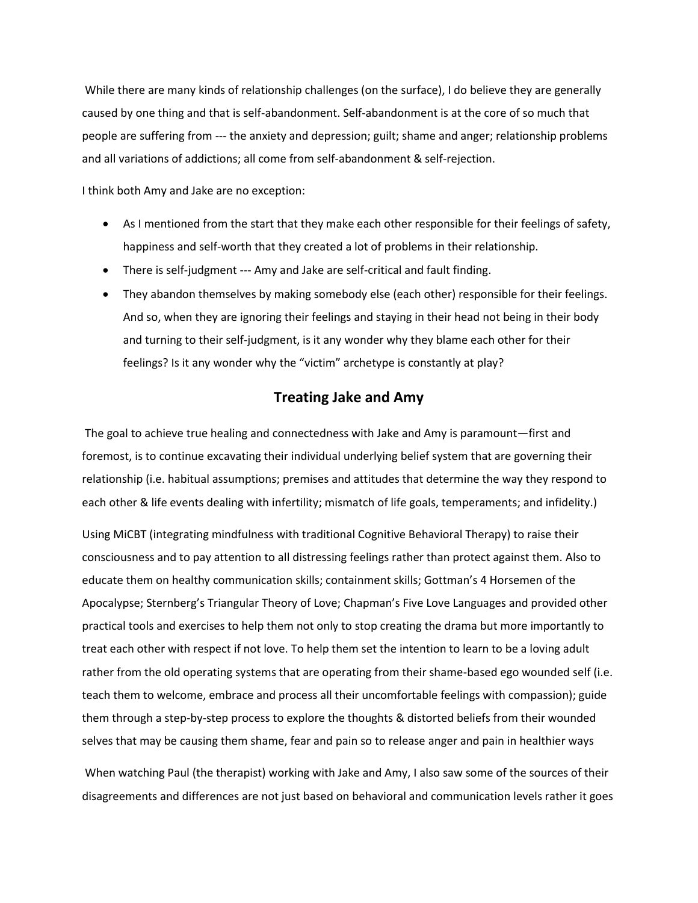While there are many kinds of relationship challenges (on the surface), I do believe they are generally caused by one thing and that is self-abandonment. Self-abandonment is at the core of so much that people are suffering from --- the anxiety and depression; guilt; shame and anger; relationship problems and all variations of addictions; all come from self-abandonment & self-rejection.

I think both Amy and Jake are no exception:

- As I mentioned from the start that they make each other responsible for their feelings of safety, happiness and self-worth that they created a lot of problems in their relationship.
- There is self-judgment --- Amy and Jake are self-critical and fault finding.
- They abandon themselves by making somebody else (each other) responsible for their feelings. And so, when they are ignoring their feelings and staying in their head not being in their body and turning to their self-judgment, is it any wonder why they blame each other for their feelings? Is it any wonder why the "victim" archetype is constantly at play?

## **Treating Jake and Amy**

The goal to achieve true healing and connectedness with Jake and Amy is paramount—first and foremost, is to continue excavating their individual underlying belief system that are governing their relationship (i.e. habitual assumptions; premises and attitudes that determine the way they respond to each other & life events dealing with infertility; mismatch of life goals, temperaments; and infidelity.)

Using MiCBT (integrating mindfulness with traditional Cognitive Behavioral Therapy) to raise their consciousness and to pay attention to all distressing feelings rather than protect against them. Also to educate them on healthy communication skills; containment skills; Gottman's 4 Horsemen of the Apocalypse; Sternberg's Triangular Theory of Love; Chapman's Five Love Languages and provided other practical tools and exercises to help them not only to stop creating the drama but more importantly to treat each other with respect if not love. To help them set the intention to learn to be a loving adult rather from the old operating systems that are operating from their shame-based ego wounded self (i.e. teach them to welcome, embrace and process all their uncomfortable feelings with compassion); guide them through a step-by-step process to explore the thoughts & distorted beliefs from their wounded selves that may be causing them shame, fear and pain so to release anger and pain in healthier ways

When watching Paul (the therapist) working with Jake and Amy, I also saw some of the sources of their disagreements and differences are not just based on behavioral and communication levels rather it goes